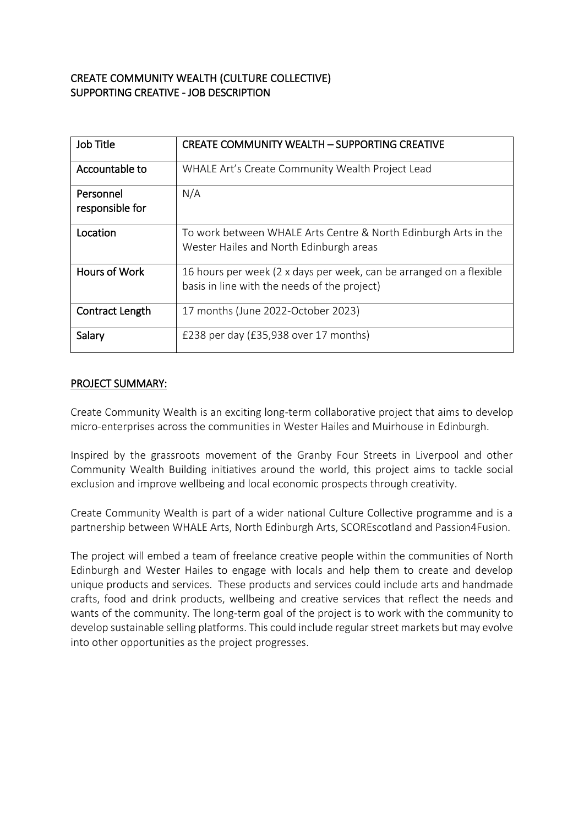# CREATE COMMUNITY WEALTH (CULTURE COLLECTIVE) SUPPORTING CREATIVE - JOB DESCRIPTION

| Job Title                    | <b>CREATE COMMUNITY WEALTH - SUPPORTING CREATIVE</b>                                                                |
|------------------------------|---------------------------------------------------------------------------------------------------------------------|
| Accountable to               | WHALE Art's Create Community Wealth Project Lead                                                                    |
| Personnel<br>responsible for | N/A                                                                                                                 |
| Location                     | To work between WHALE Arts Centre & North Edinburgh Arts in the<br>Wester Hailes and North Edinburgh areas          |
| <b>Hours of Work</b>         | 16 hours per week (2 x days per week, can be arranged on a flexible<br>basis in line with the needs of the project) |
| Contract Length              | 17 months (June 2022-October 2023)                                                                                  |
| Salary                       | £238 per day (£35,938 over 17 months)                                                                               |

#### PROJECT SUMMARY:

Create Community Wealth is an exciting long-term collaborative project that aims to develop micro-enterprises across the communities in Wester Hailes and Muirhouse in Edinburgh.

Inspired by the grassroots movement of the Granby Four Streets in Liverpool and other Community Wealth Building initiatives around the world, this project aims to tackle social exclusion and improve wellbeing and local economic prospects through creativity.

Create Community Wealth is part of a wider national Culture Collective programme and is a partnership between WHALE Arts, North Edinburgh Arts, SCOREscotland and Passion4Fusion.

The project will embed a team of freelance creative people within the communities of North Edinburgh and Wester Hailes to engage with locals and help them to create and develop unique products and services. These products and services could include arts and handmade crafts, food and drink products, wellbeing and creative services that reflect the needs and wants of the community. The long-term goal of the project is to work with the community to develop sustainable selling platforms. This could include regular street markets but may evolve into other opportunities as the project progresses.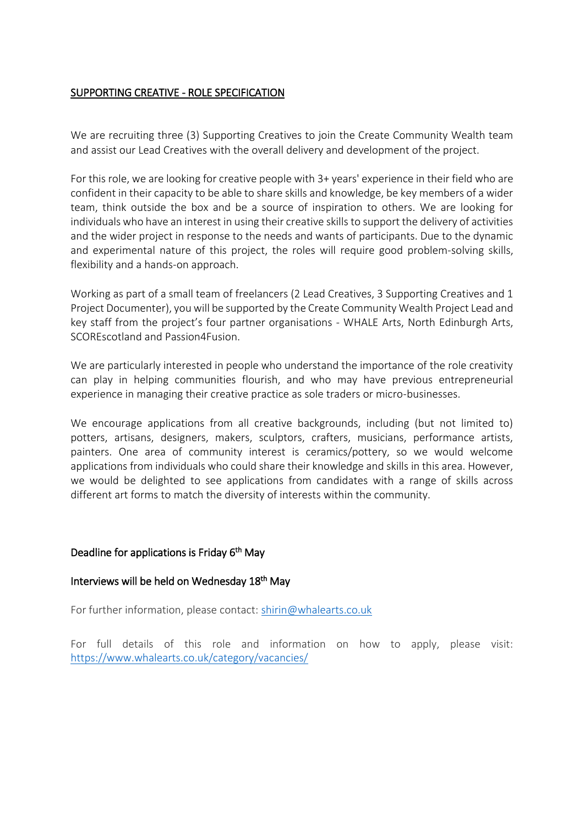# SUPPORTING CREATIVE - ROLE SPECIFICATION

We are recruiting three (3) Supporting Creatives to join the Create Community Wealth team and assist our Lead Creatives with the overall delivery and development of the project.

For this role, we are looking for creative people with 3+ years' experience in their field who are confident in their capacity to be able to share skills and knowledge, be key members of a wider team, think outside the box and be a source of inspiration to others. We are looking for individuals who have an interest in using their creative skills to support the delivery of activities and the wider project in response to the needs and wants of participants. Due to the dynamic and experimental nature of this project, the roles will require good problem-solving skills, flexibility and a hands-on approach.

Working as part of a small team of freelancers (2 Lead Creatives, 3 Supporting Creatives and 1 Project Documenter), you will be supported by the Create Community Wealth Project Lead and key staff from the project's four partner organisations - WHALE Arts, North Edinburgh Arts, SCOREscotland and Passion4Fusion.

We are particularly interested in people who understand the importance of the role creativity can play in helping communities flourish, and who may have previous entrepreneurial experience in managing their creative practice as sole traders or micro-businesses.

We encourage applications from all creative backgrounds, including (but not limited to) potters, artisans, designers, makers, sculptors, crafters, musicians, performance artists, painters. One area of community interest is ceramics/pottery, so we would welcome applications from individuals who could share their knowledge and skills in this area. However, we would be delighted to see applications from candidates with a range of skills across different art forms to match the diversity of interests within the community.

## Deadline for applications is Friday 6<sup>th</sup> May

## Interviews will be held on Wednesday 18<sup>th</sup> May

For further information, please contact: [shirin@whalearts.co.uk](mailto:shirin@whalearts.co.uk)

For full details of this role and information on how to apply, please visit: [https://www.whalearts.co.uk/category/vacancies/](https://www.whalearts.co.uk/category/vacancies/page/2/)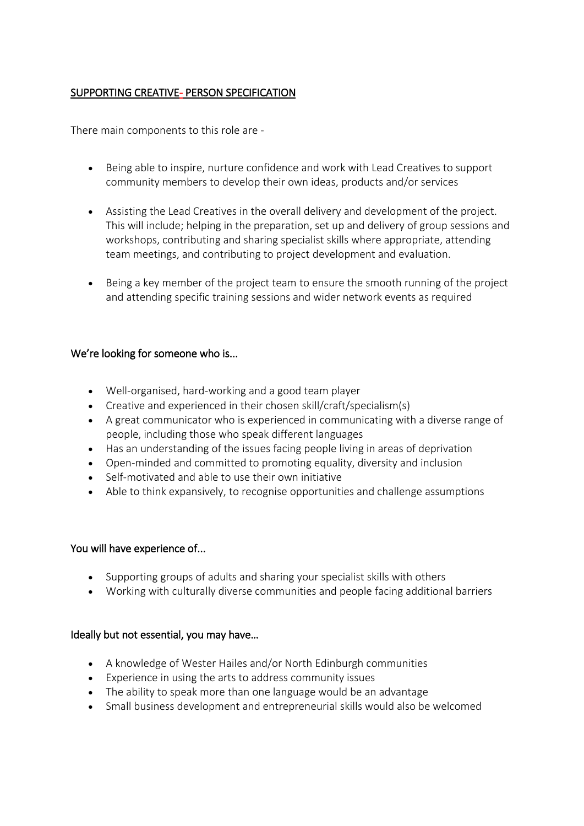# SUPPORTING CREATIVE- PERSON SPECIFICATION

There main components to this role are -

- Being able to inspire, nurture confidence and work with Lead Creatives to support community members to develop their own ideas, products and/or services
- Assisting the Lead Creatives in the overall delivery and development of the project. This will include; helping in the preparation, set up and delivery of group sessions and workshops, contributing and sharing specialist skills where appropriate, attending team meetings, and contributing to project development and evaluation.
- Being a key member of the project team to ensure the smooth running of the project and attending specific training sessions and wider network events as required

### We're looking for someone who is...

- Well-organised, hard-working and a good team player
- Creative and experienced in their chosen skill/craft/specialism(s)
- A great communicator who is experienced in communicating with a diverse range of people, including those who speak different languages
- Has an understanding of the issues facing people living in areas of deprivation
- Open-minded and committed to promoting equality, diversity and inclusion
- Self-motivated and able to use their own initiative
- Able to think expansively, to recognise opportunities and challenge assumptions

#### You will have experience of...

- Supporting groups of adults and sharing your specialist skills with others
- Working with culturally diverse communities and people facing additional barriers

#### Ideally but not essential, you may have…

- A knowledge of Wester Hailes and/or North Edinburgh communities
- Experience in using the arts to address community issues
- The ability to speak more than one language would be an advantage
- Small business development and entrepreneurial skills would also be welcomed